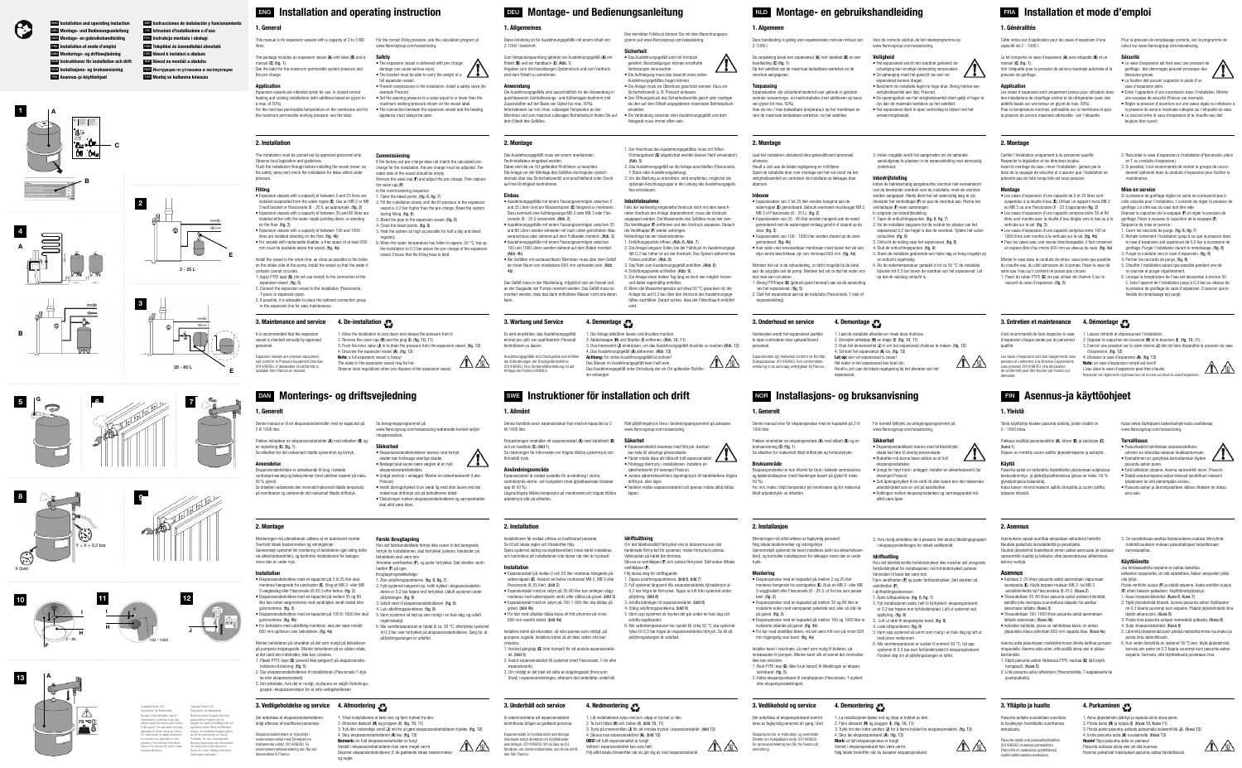3. Push the inner valve (J) in to drain the pressure from the expansion vessel. (fig. 12 4. Unscrew the expansion vessel (A). (fig. 13) Note: a full expansion vessel is heavy! The water in the expansion vessel may be hot. Observe local regulations when you dispose of the expansion vessel.

# G BAN Monterings- og driftsvejledning

The package includes an expansion vessel (A) with label (B) and a manual  $(C)$  (fin. 1). See the label for the maximum permissible system pressure and the pre-charge.

> 1. Allow the installation to cool down and release the pressure from it. 2. Remove the cover cap (H) and the plug (I). (fig. 10, 11)

# 1. General

This manual is for expansion vessels with a capacity of 2 to 1000 For the correct filling pressure, see the calculation program at litres.

## Application

• Set the opening pressure to a value equal to or lower than the maximum working pressure shown on the vessel label.

For the min/max permissible temperature on the membrane and for the maximum permissible working pressure: see the label.

## 2. Installation

The installation must be carried out by approved personnel only.

Observe local legislation and guidelines. Flush the installation through before installing the vessel (never via the safety valve) and check the installation for leaks whilst under pressure.

#### Fitting

It is recommended that the expansion vessel is checked annually by approved personnel.

- 1. Die Anlage abkühlen lassen und drucklos macher
- 2. Abdeckkappe (H) und Stopfen (I) entfernen. (Abb. 10, 11) 3. Das Innenventil (J) eindrücken, um das Ausdehnungsgefäß drucklos zu machen (Abb. 12)
- 4. Das Ausdehnungsgefäß (A) abtrennen. (Abb. 13)

Das Ausdehnungsgefäß unter Einhaltung der vor Ort geltenden Richtlinien entsorger

Expansion vessels are intended solely for use in closed central heating and cooling installations (with additives based on glycol to a max. of 50%) • The connection between the expansion vessel and the heating

- Expansion vessels with a capacity of between 2 and 25 litres are installed suspended from the water nipple (E). Use an MB 2 or MB 2. Fill the installation slowly until the fill pressure in the expansion
- 3 wall bracket or Flexconsole (8 25 l), as appropriate. (fig. 2) • Expansion vessels with a capacity of between 35 and 80 litres are
- installed either with the water nipple pointing down, or standing on the floor. (fig. 3) • Expansion vessels with a capacity of between 100 and 1000
- litres are installed standing on the floor. (fig. 4b) • For vessels with replaceable bladder, a free space of at least 600
- mm must be available above the vessel. (fig. 4a) Install the vessel in the return line, as close as possible to the boiler
- on the intake side of the pump. Install the vessel so that the water it contains cannot circulate.
- 1. Apply PTFF tape (G) (do not use hemp!) to the connection of the expansion vessel. (fig. 5) 2. Connect the expansion vessel to the installation (Flexconsole,
- T-piece or expansion pipe).
- 3. If possible, it is advisable to place the optional connection group in the expansion line for easy maintenance.

# 4. De-installation 3. Maintenance and service

Das Ausdehnungsgefäß muss von einem anerkannter Fachinstallateur eingebaut werden. Dabei sind die vor Ort geltenden Richtlinien zu beachten. Die Anlage vor der Montage des Gefäßes durchspülen (jedoch niemals über das Sicherheitsventil) und anschließend unter Druck auf ihre Dichtigkeit kontrollieren.

www.flamcogroup.com/vesselsizing.

• The expansion vessel is delivered with pre-charge:

damage can cause serious injury.

appliance must always be open.

water side of the vessel should be empty.

• The bracket must be able to carry the weight of a

• Prevent overpressure in the installation. Install a safety valve (for

example Prescor).

• Den Öffnungsdruck des Sicherheitsventils gleich oder niedrige als den auf dem Etikett angegebenen maximalen Betriebsdruck

Commissioning

If the factory-set pre-charge does not match the calculated precharge for the installation, the pre-charge must be adjusted. The

> Falls der werkseitig eingestellte Vordruck nicht mit dem berechneten Vordruck der Anlage übereinstimmt, muss der Vordruck angepasst werden. Die Wasserseite des Gefäßes muss leer sein. Die Ventilkappe (F) entfernen und den Vordruck anpassen. Danach die Ventilkanne (F) wieder anbringen Reihenfolge bei der Inbetriebnahme: 1. Entlüftungspunkte öffnen. (Abb. 6, Abb. 7) 2. Die Anlage langsam füllen, bis der Fülldruck im Ausdehnungsge-

Remove the valve cap (F) and adjust the pre-charge. Then replace

the valve cap (F).

In the commissioning sequence: 1. Open the bleed points. (fig. 6, fig. 7)

vessel is 0.2 bar higher than the pre-charge. Bleed the system

during filling. (fig. 8)

full expansion vessel.

3. Bleed the pipe to the expansion vessel. (fig. 8)

4. Close the bleed points. (fig. 9)

5. Heat the system as high as possible for half a day and bleed

regularly.

Ausdehnungsgefäße sind Druckgeräte und erfüllen **Achtung:** Ein volles Ausdehnungsgefäß ist schwer! die Anforderungen der Druckgeräterichtlinie 2014/68/EU. Eine Konformitätserklärung ist auf Anfrage bei Flamco erhältlich.

6. When the water temperature has fallen to approx. 50 °C, top up the installation to 0.3 bar above the pre-charge of the expansion

Safety

vessel. Ensure that the filling hose is bled.

L'eau dans le vase d'expansion peut être chaude. Respecter les règlements régionaux lors de la mise au rebut du vased'expansi



Expansion vessels are pressure equipment, and conform to Pressure Equipment Directive 2014/68/EU. A declaration of conformity is available from Flamco on request.

Das Wasser im Ausdehnungsgefäß kann heiß sein.

# 1. Allgemeines

Diese Anleitung ist für Ausdehnungsgefäße mit einem Inhalt von 2-1000 l bestimmt.

Zum Verpackungsumfang gehören ein Ausdehnungsgefäß (A) mit Etikett (B) und ein Handbuch (C) (Abb. 1). Angaben zum höchstzulässigen Systemdruck und zum Vordruck sind dem Etikett zu entnehmen.

### Anwendung

Die Ausdehnungsgefäße sind ausschließlich für die Verwendung in geschlossenen Zentralheizungs- und Kühlanlagen bestimmt (mit Zusatzstoffen auf der Basis von Glykol bis max. 50%). Informationen zur min./max. zulässigen Temperatur an der Membran und zum maximal zulässigen Betriebsdruck finden Sie auf dem Etikett des Gefäßes.

### 2. Montage

Si la pression de gonflage réglée en usine ne correspond pas à celle calculée pour l'installation, il convient de régler la pression de gonflage. Le côté eau du vase doit être vide.

#### Einbau

2. Remplir lentement l'installation jusqu'à ce que la pression dana le vase d'expansion soit supérieure de 0,2 bar à la pression de gonflage. Purger l'installation durant le remplissage. (fig. 8) 3. Purger la conduite vers le vase d'expansion. (fig. 8)

- Ausdehnungsgefäße mit einem Fassungsvermögen zwischen 2 und 25 Litern sind am Wasserstutzen (E) hängend zu montieren. Dazu eventuell eine Aufhängezarge MB 2 oder MB 3 oder Flexconsole (8 - 25 l) verwenden. (Abb. 2) • Ausdehnungsgefäße mit einem Fassungsvermögen zwischen 35
- und 80 Litern werden entweder mit nach unten gerichtetem Wasseranschluss oder stehend auf dem Fußboden montiert. (Abb. 3) • Ausdehnungsgefäße mit einem Fassungsvermögen zwischen
- 100 und 1000 Litern werden stehend auf dem Boden montiert. (Abb. 4b) • Bei Gefäßen mit austauschbarer Membran muss über dem Gefäß
- ein freier Raum von mindestens 600 mm vorhanden sein. (Abb. 4b)

Deze handleiding is geldig voor expansievaten met een inhoud van Voor de correcte vuldruk zie het rekenprogramma op 2-1000 De verpakking bevat een expansievat (A) met vatetiket (B) en een

Das Gefäß muss in der Rückleitung, möglichst nah am Kessel und an der Saugseite der Pumpe montiert werden. Das Gefäß muss so montiert werden, dass das darin enthaltene Wasser nicht zirkulieren kann.

Den korrekten Fülldruck können Sie mit dem Berechnungspro-

gramm auf www.flamcogroup.com/vesselsizing.

Sicherheit

• Das Ausdehnungsgefäß wird mit Vordruck geliefert: Beschädigungen können ernsthafte

Verletzungen verursachen.

• Die Aufhängung muss das Gewicht eines vollen Ausdehnungsgefäßes tragen können.

• Die Anlage muss vor Überdruck geschützt werden. Dazu ein

Sicherheitsventil (z. B. Prescor) einbauen.

einstellen.

• Die Verbindung zwischen dem Ausdehnungsgefäß und dem

Heizgerät muss immer offen sein.

1. Der Anschluss des Ausdehnungsgefäßes muss mit Teflon-

Dichtungsband (G) abgedichtet werden (keinen Hanf verwenden!).

2. Das Ausdehnungsgefäß an die Anlage anschließen (Flexconsole, T-Stück oder Ausdehnungsleitung). 3. Um die Wartung zu erleichtern, wird empfohlen, möglichst die optionale Anschlussgruppe in die Leitung des Ausdehnungsgefä-

## ßes einzubauen. Inbetriebnahme

 $(Ahh. 5)$ 

fäß 0,2 bar höher ist als der Vordruck. Das System während des Füllens entlüften. (Abb. 8) 3. Das Rohr zum Ausdehnungsgefäß entlüften. (Abb. 8) 4. Entlüftungspunkte schließen. (Abb. 9)

> 4. Schroef het expansievat (A) los. (fig. 13) Let op: een vol expansievat is zwaar! Het water in het expansievat kan heet zijn. Houdt u zich aan de lokale regelgeving bij het afvoeren van het expansievat. Expansievaten zijn drukvaten conform de Richtlijn Drukapparatuur 2014/68/EU. Een conformiteitsverklaring is op aanvraag verkrijgbaar bij Flamco.

5. Die Anlage einen halben Tag lang so hoch wie möglich heizen und dabei regelmäßig entlüften. 6. Wenn die Wassertemperatur auf etwa 50 °C gesunken ist, die

Anlage bis auf 0,3 bar über den Vordruck des Ausdehnungsgefäßes nachfüllen. Darauf achten, dass der Füllschlauch entlüftet wird.

# 4. Demontage

# 3. Wartung und Service

#### Förpackningen innehåller ett expansionskärl (A) med kärletikett (B) och en handbok (C) (bild 1). Se märkningen för information om högsta tillåtna systemtryck och förinställt tryck.

Es wird empfohlen, das Ausdehnungsgefäß einmal pro Jahr von qualifiziertem Personal kontrollieren zu lassen.

nstallationen får endast utföras av kvalificerad personal Se till att lokala regler och föreskrifter följs.

attennippein (**E**). Använd vid beno Flexconsole (8-25 liter). (bild 2)

1. Laisser refroidir et dépressuriser l'installation. 2. Déposer le capuchon de couvercle (H) et le bouchon (I). (fig. 10, 11) 3. Exercer une pression sur la valve interne (J) afin de faire disparaître la pression du vase

d'expansion. (fig. 12)

Note: un vase d'expansion rempli est lourd!

**Turvallisuus** 

#### 1. Använd gängtejp (G) (inte hampa!) för att ansluta expansionskär let. (bild 5) 2. Anslut expansionskärlet till systemet (med Flexconsole, T-rör eller

expansionsrör) 3. Om möjligt är det bäst att sätta en kopplingssats (finns som tillval) i expansionsledningen, eftersom det underlättar underhåll. 1. Généralités

- kan leda till allvarliga personskador. • Fästet måste klara att hålla ett fullt expansionskärl. • Förebygg övertryck i installationen. Installera en
- säkerhetsventil (till exempel Prescor).
	- Justera säkerhetsventilens öppningstryck till kärletikettens högsta drifttryck, eller lägre. • Ventilen mellan expansionskärlet och pannan måste alltid hållas öpper

Cette notice est d'application pour les vases d'expansion d'une

capacité de 2 - 1000 l.

manuel (C) (fig. 1).

Le kit comporte un vase d'expansion (A) avec étiquette (B) et un

Voir l'étiquette pour la pression de service maximale autorisée et la

Idriftsättning Om det fabriksinställt förtrycket inte är detsamma som det beräknade förtrycket för systemet, måste förtrycket justeras. Vattensidan på kärlet bör tömmas. Skruva av ventilkåpan (F) och justera förtrycket. Sätt sedan tillbaks ventilkåpan (F).

pression de gonflage. Application

Les vases d'expansion sont uniquement prévus pour utilisation dans des installations de chauffage central et de réfrigération (avec des additifs basés sur une teneur en glycol de max. 50%). Pour la température min/max. admissible sur la membrane et pour la pression de service maximale admissible : voir l'étiquette.

2. Montage

Confier l'installation uniquement à du personnel qualifié. Respecter la législation et les directives locales. Avant le montage du vase, rincer l'installation (jamais par le biais de la soupape de sécurité) et s'assurer que l'installation ne présente pas de fuite lorsqu'elle est sous pression.

1. La installasjonen kjøles ned og slipp ut trykket av den. 2. Fiern dekselet (H) og pluggen (D. (fig. 10, 11)

Montage

4. Skru løs ekspansjonskaret (A). (fig. 13) Merk: et fullt ekspansjonskar er tungt! Vannet i ekspansjonskaret kan være varmt. Følg lokale forskrifter når du kasserer ekspansjonskaret. • Les vases d'expansion d'une capacité de 2 et 25 litres sont suspendus à la douille d'eau (E). Utiliser un support mural MB 2 ou MB 3 ou une Flexconsole (8 - 25 l) appropriée (fig. 2) • Les vases d'expansion d'une capacité comprise entre 35 et 80 litres sont montés avec la douille d'eau dirigée vers le bas ou à la

verticale sur le sol. (fig. 3)

Monteringen må alltid utføres av fagkyndig personell. Følg lokale bestemmelser og retningslinje

• Les vases d'expansion d'une capacité comprise entre 100 et 1000 litres sont montés à la verticale sur le sol. (fig. 4b) • Pour les vases avec une vessie interchangeable, il faut conserver un espace libre d'au moins 600 mm au-dessus du vase. (fig. 4a) Monter le vase dans la conduite de retour, aussi près que possible du chauffe-eau, du côté admission de la pompe. Poser le vase de sorte que l'eau qu'il contient ne puisse pas circuler. 1. Poser du ruban PTFE (G) (ne pas utiliser de chanvre !) sur le

Les vases d'expansion sont des équipements sous 4. Dévisser le vase d'expansion (A). (fig. 13)

4. Démontage 3. Entretien et maintenance

raccord du vase d'expansion. (fig. 5)

Pour la pression de remplissage correcte, voir le programme de calcul sur www.flamcogroup.com/vesselsizing.

Sécurité

blessures graves.

• Le vase d'expansion est livré avec une pression de gonflage : des dommages peuvent provoquer des

• La fixation doit pouvoir supporter le poids d'un vase d'expansion plein.

• Éviter l'apparition d'une surpression dans l'installation. Monter une soupape de sécurité (Prescor par exemple).

• Régler la pression d'ouverture sur une valeur égale ou inférieure à la pression de service maximale indiquée sur l'étiquette du vase. • Le raccord entre le vase d'expansion et le chauffe-eau doit

toujours être ouvert.

FRA Installation et mode d'emploi

2. Raccorder le vase d'expansion à l'installation (Flexconsole, pièce en T ou conduite d'expansion).

3. Si possible, il est recommandé de monter le groupe de raccordement optionnel dans la conduite d'expansion pour faciliter la

maintenance. Mise en service



Déposer le capuchon de la soupape (F) et régler la pression de gonflage. Poser à nouveau le capuchon de la soupape (F). Séquence de mise en service :

1. Ouvrir les raccords de purge. (fig. 6, fig. 7)

4. Fermer les raccords de purge. (fig. 9)

5. Chauffer l'installation autant que possible pendant une demi-journée et purger régulièrement.

6. Lorsque la température de l'eau est descendue à environ 50 C, faire l'appoint de l'installation jusqu'à 0,3 bar au-dessus de la pression de gonflage du vase d'expansion. S'assurer que le flexible de remplissage est purgé.

Il est recommandé de faire inspecter le vase d'expansion chaque année par du personnel

qualifié.

pression et conformes à la directive Équipements .<br>sous pression 2014/68/EU. Une déclaration de conformité peut être fournie par Flamco sur

demande.

# NLD Montage- en gebruikshandleiding

1. Laat de installatie afkoelen en maak deze drukloos. 2. Verwijder afdekkap (H) en dopje (I). (fig. 10, 11) 3. Druk het binnenventiel (J) in om het expansievat drukloos te maken. (fig. 12)

4. Demontage

# 1. Algemeen

handleiding (C) (fig. 1).

Paisunta-astiat ovat paineastiadirektiiv 2014/68/EU mukaisia paineastioita. Flamcolta on saatavissa pyydettäessä vaatimustenmukaisuusvakuutus.



Op het vatetiket zijn de maximaal toelaatbare werkdruk en de

voordruk aangegeven.

Toepassing

Expansievaten zijn uitsluitend bestemd voor gebruik in gesloten centrale verwarmings- en koelinstallaties (met additieven op basis

van glycol tot max. 50%).

Pakken inkluderer en ekspansionsbeholder (A) med etiketten (B) og en vejledning (C) (fig. 1). Se etiketten for det maksimalt tilladte systemtryk og fortryk.

Voor de min / max toelaatbare temperatuur op het membraan en voor de maximale toelaatbare werkdruk: zie het vatetiket.

2. Montage

Laat het installeren uitsluitend door gekwalificeerd personeel

uitvoeren.

Houdt u zich aan de lokale regelgeving en richtlijnen. Spoel de installatie door voor montage van het vat (nooit via het veiligheidsventiel) en controleer de installatie op lekkages door

afpersen. Inbouw

• Expansievaten van 2 tot 25 liter worden hangend aan de waternippel (E) gemonteerd. Gebruik eventueel muurbeugel MB 2,

• Expansievaten van 35 - 80 liter worden hangend aan de wand gemonteerd met de waternippel omlaag gericht of staand op de

vloer. (fig. 3)

• Expansievaten van 100 - 1000 liter worden staand op de vloer

gemonteerd. (fig. 4b)

- 1. Påsæt PTFE-tape (G) (anvend ikke pakgarn!) på ekspansionsbeholderens tilslutning. (fig. 5)
- 2. Slut ekspansionsbeholderen til installationen (Flexconsole T-stykke eller ekspansionsrøret
- 3. Det anbefales, hvis det er muligt, at placere en valgfri tilslutningsgruppe i ekspansionslinjen for at lette vedligeholdelsen.

# 3. Vedligeholdelse og service 4. Afmontering

• Voor vaten met verwisselbaar membraan moet boven het vat een vrije ruimte beschikbaar zijn van minimaal 600 mm. (fig. 4a) Monteer het vat in de retourleiding, zo dicht mogelijk bij de ketel, aan de zuigzijde van de pomp. Monteer het vat zo dat het water erin

niet mee kan circuleren.

1. Breng PTFEtape (G) (gebruik geen hennep!) aan op de aansluiting

van het expansievat. (fig. 5)

2. Sluit het expansievat aan op de installatie (Flexconsole, T-stuk of

MB 3 of Flexconsole (8 - 25 L). (fig. 2)

expansieleiding).

personeel

www.flamcogroup.com/vesselsizing.

# Veiligheid

- Het expansievat wordt met voordruk geleverd: beschadiging kan ernstige verwonding veroorzaken. • De ophanging moet het gewicht van een vol expansievat kunnen dragen.
- Bescherm de installatie tegen te hoge druk. Breng hiertoe een veiligheidsventiel aan (bijv. Prescor). • De openingsdruk van het veiligheidsventiel dient gelijk of lager te zijn dan de maximale werkdruk op het vatetiket.
- Het expansievat dient in open verbinding te blijven met het verwarmingstoestel.

Ekspansionsbeholdere er trykudstyr overensstemmelse med Direktivet om trykbærende udstyr 2014/68/EU. En overensstemmelseserklæring kan fås ved henvendelse til Flamco.

3. Indien mogelijk wordt het aangeraden om de optionele aansluitgroep te plaatsen in de expansieleiding voor eenvoudig onderhoud.

## **Inbedrijfstelling**

Indien de fabrieksmatig aangebrachte voordruk niet overeenkomt met de berekende voordruk voor de installatie, moet de voordruk worden aangepast. Hierbij dient het vat waterzijdig leeg te zijn. Verwijder het ventieldopje (F) en pas de voordruk aan. Hierna het ventieldopie (F) weer aanbrengen. In volgorde van inbedrijfsstelling:



1. Open de ontluchtingspunten. (fig. 6, fig. 7)

- 2. Vul de installatie langzaam tot de vuldruk ter plaatse van het expansievat 0,2 bar hoger is dan de voordruk. Tijdens het vullen ontluchten. (fig. 8)
- 3. Ontlucht de leiding naar het expansievat. (fig. 8)
- 4. Sluit de ontluchtingspunten. (fig. 9) 5. Stook de installatie gedurende een halve dag zo hoog mogelijk op
- en ontlucht regelmatig. 6. Als de watertemperatuur gedaald is tot ca 50 °C de installatie
- bijvullen tot 0,3 bar boven de voordruk van het expansievat. Let op dat de vulslang ontlucht is.

3. Onderhoud en service Aanbevolen wordt het expansievat jaarlijks te laten controleren door gekwalificeerd

- 1. Låt installationen kylas ned och släpp ur trycket ur den. 2. Ta bort höljet (H) och hatten (I). (bild 10, 11)
- 3. Tryck på innerventilen (J) för att minska trycket i expansionskärlet. (bild 12) 4. Skruva loss expansionskärlet (A). (bild 13)
- OBS! ett fullt expansionskärl är tungt! Vattnet i expansionskärlet kan vara hett.
- Följ alltid lokala föreskrifter när du gör dig av med expansionskärlet.

## 1. Allmänt

### Användningsområde

Expansionskärl är endast avsedda för användning i slutna, centralstyrda värme- och kylsystem (med glykolbaserade tillsatser upp till 50 %). Lägsta/högsta tillåtna temperatur på membranet och högsta tillåtna arbetstryck står på etiketten.

# 2. Installation

Spola systemet (aldrig via skyddsventilen) innan kärlet installeras, och kontrollera att installationen inte läcker när den är trycksatt.

Installation

• Expansionskärl på mellan 2 och 25 liter monteras hängande på

Denna handbok avser expansionskarl fran med en kapacitet av 2 till 1000 liter. Rätt påfyllningstryck finns i beräkningsprogrammet på adressen

• Expansionskärl med en volym på 35-80 liter kan antingen vägg-

golvet. (bild 4b)

• För kärl med utbytbar blåsa krävs ett fritt utrymme på minst

600 mm ovanför kärlet. (bild 4a)

Installera kärlet på retursidan, så nära pannan som möjligt, på pumpens sugsida. Installera kärlet så att dess vatten inte kan

cirkulera.

# DEU Montage- und Bedienungsanleitung

www.flamcogroup.com/vesselsizing.

## Säkerhet • Expansionskärlet levereras med förtryck: åverkan

- monteras med vattennippeln neråt, eller ställas på golvet. (bild 3) • Expansionskärl med en volym på 100-1 000 liter ska ställas på påfyllning. (bild 8) 3. Avlufta ledningen till expansionskärlet. (bild 8) 4. Stäng avluftningspunkterna. (bild 9) 5. Värm upp systemet så mycket det går under en halv dag och avlufta regelbundet.
	- 6. När vattentemperaturen har sjunkit till cirka 50 °C ska systemet fyllas till 0,3 bar högre än expansionskärlets förtryck. Se till att påfyllningsslangen är avluftad.

# 4. Nedmontering

Följ dessa steg för idrifttagande: nkterna. (**bild 6, bild** 7) 2. Fyll systemet långsamt tills expansionskärlets fyllnadstryck är 0,2 bar högre än förtrycket. Tappa av luft från systemet under

# 3. Underhåll och service

Vi rekommenderar att expansionskärlet kontrolleras årligen av godkänd personal.

Expansionskärl är tryckbärande anordningar tillverkade enligt direktivet om tryckbärande anordningar, 2014/68/EU. Vill du läsa en EUförsäkran om överensstämmelse, kan du be att få den från Flamco.

# SWE Instruktioner för installation och drift

3. Trykk inn den indre ventilen (J) for å fjerne trykket fra ekspansjonskaret. (fig. 12)

# 1. Generelt

Denne manual ener for ekspansjonskar med en kapasitet på 2 til 1000 liter.

Pakken inneholder en ekspansjonstank (A) med etikett (B) og en

bruksanvisning (C) (fig. 1).

Se etiketten for maksimalt tillatt driftstrykk og forhåndstrykk.

Ekspansjonstanker er kun tiltenkt for bruk i lukkede sentralvarmeog kjøleinstallasjoner (med tilsetninger basert på glykol til maks.

50 %).

For min./maks. tillatt temperatur på membranen og for maksimal

tillatt arbeidstrykk: se etiketten.

2. Installasjon

**Bruksområde** 

Gjennomskyll systemet før karet installeres (aldri via sikkerhetsventilen), og kontroller installasjonen for lekkasjer mens den er under

trykk.

Montering

• Ekspansjonskar med en kapasitet på mellom 2 og 25 liter monteres hengende fra vannippelen (E). Bruk en MB 2- eller MB 3-veggbrakett eller Flexconsole (8 - 25 l), ut fra hva som passer

best. (fig. 2)

• Ekspansjonskar med en kapasitet på mellom 35 og 80 liter er installerte enten med vannippelen pekende ned, eller så står de

på gulvet. (fig. 3)

• Ekspansjonskar med en kapasitet på mellom 100 og 1000 liter er

installerte stående på gulvet. (fig. 4b)

• For kar med utskiftbar blære, må det være fritt rom på minst 600

mm tilgjengelig over karet. (fig. 4a)

Installer karet i returlinjen, så nært som mulig til boileren, på inntakssiden til pumpen. Monter karet slik at vannet det inneholder

ikke kan sirkulere.

1. Bruk PTFE-teip (G) (ikke bruk hamp!) til tilkoblingen av ekspan-

sjonskaret. (fig. 5)

2. Koble ekspansjonskaret til installasjonen (Flexconsole, T-stykket

eller ekspansjonsledningen).

For korrekt fylltrykk, se utregningsprogrammet på www.flamcogroup.com/vesselsizing.

## Sikkerhet

• Ekspansjonstankkaret leveres med forhåndstrykk: skade kan føre til alvorlig personskade. • Braketten må kunne bære vekten av et fullt

- ekspansjonstankkar. • Unngå for høyt trykk i anlegget. Installer en sikkerhetsventil (for eksempel Prescor).
- Sett åpningstrykket til en verdi lik eller lavere enn det maksimale arbeidstrykket som er vist på karetiketten.
- Koblingen mellom ekspansjonstanken og varmeapparatet må alltid være åpen.

3. Hvis mulig anbefales det å plassere den ekstra tilkoblingsgruppen i ekspansjonsledningen for enkelt vedlikehold.

### Idriftsetting

4. Demontering

Hvis det fabrikkinnstilte forhåndstrykket ikke matcher det utregnede forhåndstrykket for installasjonen, må forhåndstrykket justeres. Vannsiden til karet bør være tom.

- Fjern ventilhetten (F) og juster forhåndstrykket. Sett deretter på ventilhetten (F). I idriftsettingssekvense
- 1. Åpne luftepunktene. (fig. 6, fig. 7)
- 2. Fyll installasjonen sakte, helt til fylltrykket i ekspansjonskaret er 0,2 bar høyere enn forhåndstrykket. Luft ut systemet ved
- oppfylling. (fig. 8) 3. Luft ut røret til ekspansjons karet. (fig. 8)
- 4. Lukk luftepunktene. (fig. 9) 5. Varm opp systemet så varmt som mulig i en halv dag og luft ut
- med jevne mellomrom. 6. Når vanntemperaturen er sunket til omtrent 50 °C, fyll opp
- systemet til 0,3 bar over forhåndstrykket til ekspansjonskaret. Forsikre deg om at påfyllingsslangen er luftet.

口哑

3. Vedlikehold og service Det anbefales at ekspansjonskaret kontrolleres av fagkyndig personell én gang i året. Ekspansjons kar er trykkutstyr, og overholde Direktiv om trykkpåkjent utstyr 2014/68/EU. En samsvarserklæring kan fås fra Flamco på

anmodning.

# NOR Installasjons- og bruksanvisning

# 4. Purkaminen



3. Poista paine paisunta-astiasta painamalla sisäventtiiliä (J). (Kuva 12) 4. Irrota paisunta-astia (A) ruuvaamalla. (Kuva 13) Huom! Täysi paisunta-astia on painava! Paisunta-astiassa oleva vesi voi olla kuumaa. Huomioi paikalliset määräykset paisunta-astiaa hävitettäessä.

1. Yleistä

Tämä käyttöohje koskee paisunta-astioita, joiden sisältö on

Pakkaus sisältää paisuntasäiliön (A), kilven (B) ja käsikirjan (C)

2 - 1000 litraa.

(kuva 1).

Kilpeen on merkitty suurin sallittu järjestelmäpaine ja esitäyttö.

Käyttö

Paisunta-astiat on tarkoitettu käytettäviksi yksinomaan suljetuissa keskuslämmitys- ja jäähdytyslaitteistoissa (joissa on maks. 50 %

glykolipohjaisia lisäaineita).

Katso kalvon minimi/maksimi sallittu lämpötila ja suurin sallittu

työpaine kilvestä.

2. Asennus Noudata paikallista lainsäädäntöä ja yleisohjeita.

Asennuksen saavat suorittaa ainoastaan valtuutetut henkilöt. Huuhdo järjestelmä huolellisesti ennen astian asennusta (ei koskaan varoventtiilin kautta) ja tarkasta, ettei paineistetussa laitteistossa esiinny vuotoja.

# Asennus

- Kooltaan 2-25 litran paisunta-astiat asennetaan riippumaan vesinipasta (E). Käytä tarpeen mukaan MB 2- tai MB 3 -seinäkiinnikettä tai Flexconsolea (8-25 l). (Kuva 2) • Tilavuudeltaan 35-80 litran paisunta-astiat voidaan kiinnittää
- seinälle joko vesinippa suunnattuna alaspäin tai asettaa seisomaan lattialle. (Kuva 3)
- Tilavuudeltaan 100-1000 litran paisunta-astiat asennetaan lattialle seisomaan. (Kuva 4b)
- Astioiden kohdalla, joissa on vaihdettava kalvo, on astian yläpuolella oltava vähintään 600 mm vapaata tilaa. (Kuva 4a)
- Asenna astia paluulinjaan mahdollisimman lähelle kattilaa pumpun imupuolelle. Asenna astia siten, että sisällä oleva vesi ei pääse
- kiertämään. 1. Käytä paisunta-astian liitoksissa PTFE-nauhaa (G) (älä käytä
- hamppua!). (Kuva 5)
- 2. Liitä paisunta-astia laitteistoon (Flexconsolella, T-kappaleeella tai joustoputkella).

Katso oikea täyttöpaine laskentaohjelmasta osoitteessa www.flamcogroup.com/vesselsizing.

• Paisuntasäiliö toimitetaan esipaineistettuna: vahinko voi aiheuttaa vakavan loukkaantumisen. • Kannattimen on pystyttävä kannattamaan täyden paisunta-astian paino.



• Estä laitteiston ylipaine. Asenna varoventtiili (esim. Prescor). • Säädä avautumispaine astian kilvessä osoitettuun maksimi työpaineen tai sitä pienempään arvoon.

• Paisunta-astian ja lämmityslaitteen välisen liitoksen on oltava

aina auki.

3. On suositeltavaa asettaa lisävarusteena saatava liitinryhmä mahdollisuuksien mukaan paisuntalinjaan helpottamaan

kunnossapitoa. Käyttöönotto

Jos tehdasasetettu esipaine ei vastaa laskettua laitteiston esipainetta, on sitä säädettävä. Astian vesipuolen pitää

olla tyhjä.

Poista venttiilin suojus (F) ja säädä esipaine. Aseta venttiilin suojus (F) sitten takaisin paikalleen. Käyttöönottojärjestys:

1. Avaa ilmanpoistokohdat. (Kuva 6, Kuva 7)

2. Täytä järjestelmää hitaasti, kunnes paisunta-astian täyttöpaine on 0,2 baaria suurempi kuin esipaine. Päästä järjestelmästä ilma

täytön aikana pois. (Kuva 8)

3. Poista ilma paisunta-astiaan menevästä putkesta. (Kuva 8)

4. Sulje ilmanpoistokohdat. (Kuva 9) 5. Lämmitä järjestelmää puoli päivää mahdollisimman kuumaksi ja poista ilma säännöllisesti.

6. Kun veden lämpötila on laskenut 50 ºC:een, täytä järjestelmää, kunnes sen paine on 0,3 baaria suurempi kuin paisunta-astian esipaine. Varmista, että täyttöletkusta poistetaan ilma.



# 3. Ylläpito ja huolto

Paisunta-astialle suositellaan vuosittaista hyväksytyn henkilöstön suorittamaa

tarkastusta.

FIN Asennus-ja käyttöohjeet

1. Tillad installationen at køle ned, og fjern trykket fra den. 2. Afmonter dækslet (H) og proppen (I). (fig. 10, 11)

3. Tryk den indvendige ventil (J) ind for at gøre ekspansionsbeholderen trykløs. (fig. 12)

4. Skru ekspansionsbeholderen (A) løs. (fig. 13) Bemærk: en fuld ekspansionsbeholder er tung! Vandet i ekspansionsbeholderen kan være meget varmt. Deponer ekspansionbeholderen jf. de gældende lokale bestemmelser

og regler.

## 1. Generelt

Denne manual er til en ekspansionsbeholder med en kapacitet på 2 til 1000 liter.

### Anvendelse

Ekspansionsbeholdere er udelukkende til brug i lukkede centralvarmeanlæg og kølesystemer (med additiver baseret på maks. 50 % glykol).

Se etiketten vedrørende den minimalt/maksimalt tilladte temperatur på membranen og vedrørende det maksimalt tilladte driftstryk.

## 2. Montage

Monteringen må udelukkende udføres af en autoriseret montør. Overhold lokale bestemmelser og retningslinjer. Gennemskyl systemet før montering af beholderen (gør aldrig dette via sikkerhedsventilen), og kontroller installationen for lækager, mens den er under tryk.

#### **Installation**

- Ekspansionsbeholdere med en kapacitet på 2 til 25 liter skal monteres hængende fra vandniplen (E). Brug et MB 2- eller MB
- 3-vægbeslag eller Flexconsole (8-25 l) efter behov. (fig. 2) • Ekspansionsbeholdere med en kapacitet på mellem 35 og 80
- liter kan enten vægmonteres med vandniplen vendt nedad eller gulvmonteres. (fig. 3) • Ekspansionsbeholdere med en kapacitet på 100 til 1000 liter skal
- gulvmonteres. (fig. 4b) • For beholdere med udskiftelig membran, skal der være mindst
- 600 mm spillerum over beholderen. (fig. 4a)

Monter beholderen på returløbet så tæt som muligt på beholderen på pumpens indgangsside. Monter beholderen på en sådan måde, at det vand den indeholder, ikke kan cirkulere.

Se beregningsprogrammet på www.flamcogroup.com/vesselsizing vedrørende korrekt opfyld-

## **Sikkerhed**

ningsprocedure.

- Ekspansionstankbeholderen leveres med fortryk: skader kan forårsage alvorlige skader.
- Beslaget skal kunne bære vægten af en fuld ekspansionstankbeholder.
- Undgå overtryk i anlægget. Monter en sikkerhedsventil (f.eks. Prescor).
- Indstil åbningstrykket til en værdi lig med eller lavere end det maksimale driftstryk vist på beholderens etiket.
- Tilslutningen mellem ekspansionsbeholderen og varmeenheden skal altid være åben.

Første ibrugtagning Hvis det fabriksindstillede fortryk ikke svarer til det beregnede

## fortryk for installationen, skal fortrykket justeres. Vandsiden på beholderen skal være tom.

Afmonter ventilhætten (F), og juster fortrykket. Sæt derefter ventilhætten (F) på igen.

- Ibrugtagningsrækkefølge:
- 1. Åbn udluftningspunkterne. (fig. 6, fig. 7) 2. Fyld systemet langsomt op, indtil trykket i ekspansionsbeholderen er 0,2 bar højere end fortrykket. Udluft systemet under
- påfyldningen. (fig. 8) 3. Udluft røret til ekspansionsbeholderen. (fig. 8)
- 4. Luk udluftningspunkterne. (fig. 9) 5. Varm systemet så højt op som muligt i en halv dag, og udluft
- regelmæssigt. 6. Når vandtemperaturen er faldet til ca. 50 °C, efterfyldes systemet til 0,3 bar over fortrykket på ekspansionsbeholderen. Sørg for, at påfyldningsslangen er udluftet.

#### Det anbefales at ekspansionsbeholderen årligt efterses af kvalificeret personale.



ESP Instrucciones de instalación y funcionamiento











Copyright Flamco B.V., Bunschoten, die Niederlande. Nichts aus dieser Ausgabe darf ohne ausdrückliche Freigabe und mit Angabe der Quelle vervielfältigt oder auf irgendeine andere Weise veröffentlicht werden. Die erwähnten Angaben gelten nur für die Anwendung von Flamco Produkten. Für eine unsachgemäße Nutzung, Anwendung oder Interpreta der technischen Daten übernimmt Flamco B.V. keine Haftung. Technisch Änderungen vorbehalten.

# **ENG** Installation and operating instruction

#### Copyright Flamco B.V., Bunschoten, the Netherlands. No part of this publication may be reproduced or published in any way without explicit permission and mention of the source. The data listed are solely applicable to Flamco products. Flamco B.V. shall accept no liability whatsoever for incorrect use, application or interpretation of the technical information. Flamco B.V. reserves the right to make technical alterations.



4

A

B

## ENG Installation and operating instuction DEU Montage- und Bedienungsanleitung ntage- en gebruikshandleiding **FRA** Installation et mode d'emploi DAN Monterings- og driftsvejledning SWE Instruktioner för installation och drift NOR Installasjons- og bruksanvisning FIN Asennus-ja käyttöohjeet

ITA Istruzioni d'installazione e d'uso POL Instrukcja montażu i obsługi HUN Telepítési és üzemeltetési útmutató CES Návod k instalaci a obsluze SLK Návod na montáž a obsluhu

RUS Инструкции по установке и эксплуатации

TUR Montaj ve kullanma kılavuzu